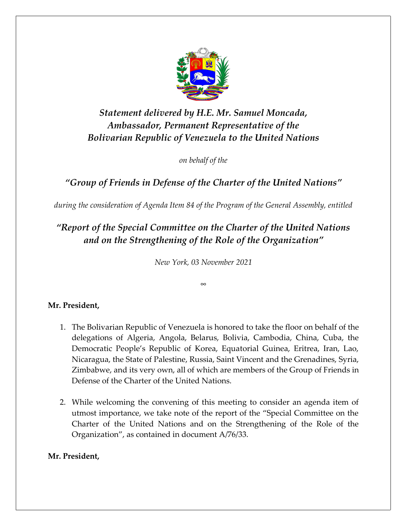

# *Statement delivered by H.E. Mr. Samuel Moncada, Ambassador, Permanent Representative of the Bolivarian Republic of Venezuela to the United Nations*

*on behalf of the*

### *"Group of Friends in Defense of the Charter of the United Nations"*

*during the consideration of Agenda Item 84 of the Program of the General Assembly, entitled*

## *"Report of the Special Committee on the Charter of the United Nations and on the Strengthening of the Role of the Organization"*

*New York, 03 November 2021*

*∞*

### **Mr. President,**

- 1. The Bolivarian Republic of Venezuela is honored to take the floor on behalf of the delegations of Algeria, Angola, Belarus, Bolivia, Cambodia, China, Cuba, the Democratic People's Republic of Korea, Equatorial Guinea, Eritrea, Iran, Lao, Nicaragua, the State of Palestine, Russia, Saint Vincent and the Grenadines, Syria, Zimbabwe, and its very own, all of which are members of the Group of Friends in Defense of the Charter of the United Nations.
- 2. While welcoming the convening of this meeting to consider an agenda item of utmost importance, we take note of the report of the "Special Committee on the Charter of the United Nations and on the Strengthening of the Role of the Organization", as contained in document A/76/33.

### **Mr. President,**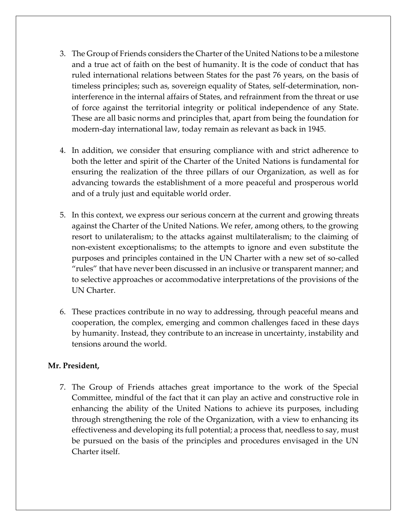- 3. The Group of Friends considers the Charter of the United Nations to be a milestone and a true act of faith on the best of humanity. It is the code of conduct that has ruled international relations between States for the past 76 years, on the basis of timeless principles; such as, sovereign equality of States, self-determination, noninterference in the internal affairs of States, and refrainment from the threat or use of force against the territorial integrity or political independence of any State. These are all basic norms and principles that, apart from being the foundation for modern-day international law, today remain as relevant as back in 1945.
- 4. In addition, we consider that ensuring compliance with and strict adherence to both the letter and spirit of the Charter of the United Nations is fundamental for ensuring the realization of the three pillars of our Organization, as well as for advancing towards the establishment of a more peaceful and prosperous world and of a truly just and equitable world order.
- 5. In this context, we express our serious concern at the current and growing threats against the Charter of the United Nations. We refer, among others, to the growing resort to unilateralism; to the attacks against multilateralism; to the claiming of non-existent exceptionalisms; to the attempts to ignore and even substitute the purposes and principles contained in the UN Charter with a new set of so-called "rules" that have never been discussed in an inclusive or transparent manner; and to selective approaches or accommodative interpretations of the provisions of the UN Charter.
- 6. These practices contribute in no way to addressing, through peaceful means and cooperation, the complex, emerging and common challenges faced in these days by humanity. Instead, they contribute to an increase in uncertainty, instability and tensions around the world.

#### **Mr. President,**

7. The Group of Friends attaches great importance to the work of the Special Committee, mindful of the fact that it can play an active and constructive role in enhancing the ability of the United Nations to achieve its purposes, including through strengthening the role of the Organization, with a view to enhancing its effectiveness and developing its full potential; a process that, needless to say, must be pursued on the basis of the principles and procedures envisaged in the UN Charter itself.